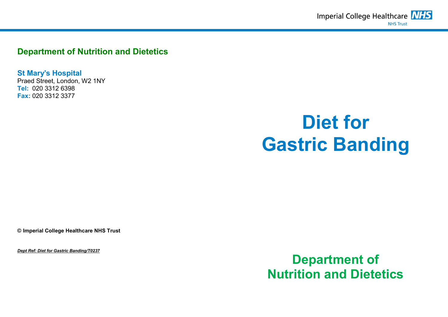**Department of Nutrition and Dietetics**

**St Mary's Hospital** Praed Street, London, W2 1NY **Tel:** 020 3312 6398 **Fax:** 020 3312 3377

# **Diet for Gastric Banding**

**© Imperial College Healthcare NHS Trust**

*Dept Ref: Diet for Gastric Banding/T0237*

**Department of Nutrition and Dietetics**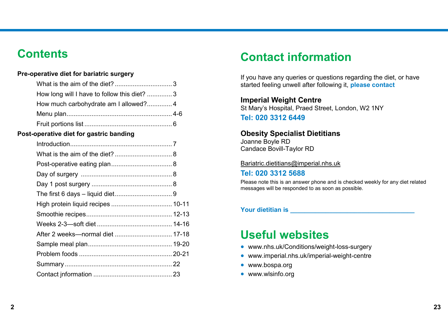# **Contents**

## **Pre-operative diet for bariatric surgery**

| How long will I have to follow this diet? 3 |  |
|---------------------------------------------|--|
|                                             |  |
|                                             |  |
|                                             |  |

## **Post-operative diet for gastric banding**

# **Contact information**

If you have any queries or questions regarding the diet, or have started feeling unwell after following it, **please contact**

**Imperial Weight Centre** St Mary's Hospital, Praed Street, London, W2 1NY

**Tel: 020 3312 6449**

#### **Obesity Specialist Dietitians** Joanne Boyle RD

Candace Bovill-Taylor RD

#### Bariatric.dietitians@imperial.nhs.uk

## **Tel: 020 3312 5688**

Please note this is an answer phone and is checked weekly for any diet related messages will be responded to as soon as possible.

## **Your dietitian is \_\_\_\_\_\_\_\_\_\_\_\_\_\_\_\_\_\_\_\_\_\_\_\_\_\_\_\_\_\_\_\_\_\_\_**

# **Useful websites**

- www.nhs.uk/Conditions/weight-loss-surgery
- www.imperial.nhs.uk/imperial-weight-centre
- [www.bospa.org](http://www.bospa.org/)
- [www.wlsinfo.org](http://www.wlsinfo.org/)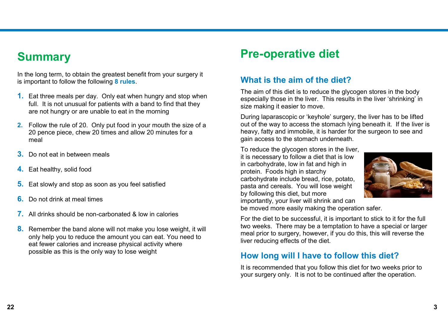# **Summary**

In the long term, to obtain the greatest benefit from your surgery it is important to follow the following **8 rules**.

- **1.** Eat three meals per day. Only eat when hungry and stop when full. It is not unusual for patients with a band to find that they are not hungry or are unable to eat in the morning
- **2.** Follow the rule of 20. Only put food in your mouth the size of a 20 pence piece, chew 20 times and allow 20 minutes for a meal
- **3.** Do not eat in between meals
- **4.** Eat healthy, solid food
- **5.** Eat slowly and stop as soon as you feel satisfied
- **6.** Do not drink at meal times
- **7.** All drinks should be non-carbonated & low in calories
- **8.** Remember the band alone will not make you lose weight, it will only help you to reduce the amount you can eat. You need to eat fewer calories and increase physical activity where possible as this is the only way to lose weight

# **Pre-operative diet**

# **What is the aim of the diet?**

The aim of this diet is to reduce the glycogen stores in the body especially those in the liver. This results in the liver 'shrinking' in size making it easier to move.

During laparascopic or 'keyhole' surgery, the liver has to be lifted out of the way to access the stomach lying beneath it. If the liver is heavy, fatty and immobile, it is harder for the surgeon to see and gain access to the stomach underneath.

To reduce the glycogen stores in the liver, it is necessary to follow a diet that is low in carbohydrate, low in fat and high in protein. Foods high in starchy carbohydrate include bread, rice, potato, pasta and cereals. You will lose weight by following this diet, but more importantly, your liver will shrink and can



be moved more easily making the operation safer.

For the diet to be successful, it is important to stick to it for the full two weeks. There may be a temptation to have a special or larger meal prior to surgery, however, if you do this, this will reverse the liver reducing effects of the diet.

# **How long will I have to follow this diet?**

It is recommended that you follow this diet for two weeks prior to your surgery only. It is not to be continued after the operation.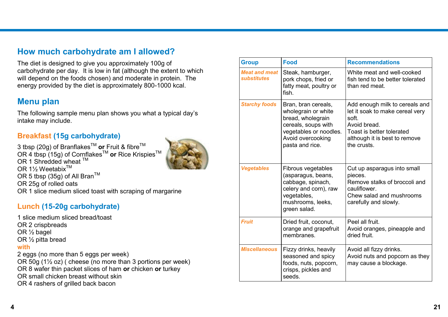# **How much carbohydrate am I allowed?**

The diet is designed to give you approximately 100g of carbohydrate per day. It is low in fat (although the extent to which will depend on the foods chosen) and moderate in protein. The energy provided by the diet is approximately 800-1000 kcal.

# **Menu plan**

The following sample menu plan shows you what a typical day's intake may include.

# **Breakfast (15g carbohydrate)**

3 tbsp (20g) of Branflakes<sup>™</sup> or Fruit & fibre<sup>™</sup> OR 4 tbsp (15g) of CornflakesTM **or** Rice KrispiesTM OR 1 Shredded wheat ™ OR 1½ Weetabix<sup>™</sup> OR 5 tbsp (35g) of All Bran<sup>TM</sup> OR 25g of rolled oats OR 1 slice medium sliced toast with scraping of margarine

# **Lunch (15-20g carbohydrate)**

1 slice medium sliced bread/toast OR 2 crispbreads OR ½ bagel OR ½ pitta bread **with** 2 eggs (no more than 5 eggs per week) OR 50g (1½ oz) ( cheese (no more than 3 portions per week) OR 8 wafer thin packet slices of ham **or** chicken **or** turkey OR small chicken breast without skin

- 
- OR 4 rashers of grilled back bacon

| <b>Group</b>                        | <b>Food</b>                                                                                                                                              | <b>Recommendations</b>                                                                                                                                                  |
|-------------------------------------|----------------------------------------------------------------------------------------------------------------------------------------------------------|-------------------------------------------------------------------------------------------------------------------------------------------------------------------------|
| <b>Meat and meat</b><br>substitutes | Steak, hamburger,<br>pork chops, fried or<br>fatty meat, poultry or<br>fish.                                                                             | White meat and well-cooked<br>fish tend to be better tolerated<br>than red meat.                                                                                        |
| <b>Starchy foods</b>                | Bran, bran cereals,<br>wholegrain or white<br>bread, wholegrain<br>cereals, soups with<br>vegetables or noodles.<br>Avoid overcooking<br>pasta and rice. | Add enough milk to cereals and<br>let it soak to make cereal very<br>soft.<br>Avoid bread.<br>Toast is better tolerated<br>although it is best to remove<br>the crusts. |
| <b>Vegetables</b>                   | Fibrous vegetables<br>(asparagus, beans,<br>cabbage, spinach,<br>celery and corn), raw<br>vegetables,<br>mushrooms, leeks,<br>green salad.               | Cut up asparagus into small<br>pieces.<br>Remove stalks of broccoli and<br>cauliflower.<br>Chew salad and mushrooms<br>carefully and slowly.                            |
| <b>Fruit</b>                        | Dried fruit, coconut,<br>orange and grapefruit<br>membranes.                                                                                             | Peel all fruit.<br>Avoid oranges, pineapple and<br>dried fruit.                                                                                                         |
| <b>Miscellaneous</b>                | Fizzy drinks, heavily<br>seasoned and spicy<br>foods, nuts, popcorn,<br>crisps, pickles and<br>seeds.                                                    | Avoid all fizzy drinks.<br>Avoid nuts and popcorn as they<br>may cause a blockage.                                                                                      |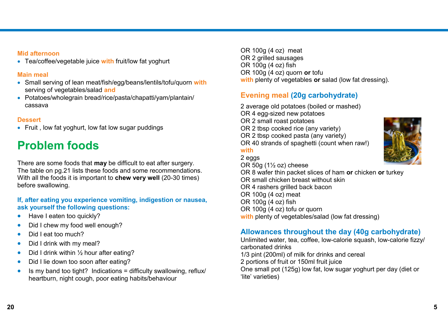### **Mid afternoon**

Tea/coffee/vegetable juice **with** fruit/low fat yoghurt

### **Main meal**

- Small serving of lean meat/fish/egg/beans/lentils/tofu/quorn **with**  serving of vegetables/salad **and**
- Potatoes/wholegrain bread/rice/pasta/chapatti/yam/plantain/ cassava

## **Dessert**

• Fruit, low fat yoghurt, low fat low sugar puddings

# **Problem foods**

There are some foods that **may** be difficult to eat after surgery. The table on pg.21 lists these foods and some recommendations. With all the foods it is important to **chew very well** (20-30 times) before swallowing.

## **If, after eating you experience vomiting, indigestion or nausea, ask yourself the following questions:**

- Have I eaten too quickly?
- Did I chew my food well enough?
- Did I eat too much?
- Did I drink with my meal?
- $\bullet$  Did I drink within  $\frac{1}{2}$  hour after eating?
- Did I lie down too soon after eating?
- $\bullet$  Is my band too tight? Indications = difficulty swallowing, reflux/ heartburn, night cough, poor eating habits/behaviour

OR 100g (4 oz) meat OR 2 grilled sausages OR 100g (4 oz) fish OR 100g (4 oz) quorn **or** tofu **with** plenty of vegetables **or** salad (low fat dressing).

# **Evening meal (20g carbohydrate)**

2 average old potatoes (boiled or mashed) OR 4 egg-sized new potatoes OR 2 small roast potatoes OR 2 tbsp cooked rice (any variety) OR 2 tbsp cooked pasta (any variety) OR 40 strands of spaghetti (count when raw!) **with** 2 eggs OR 50g (1½ oz) cheese OR 8 wafer thin packet slices of ham **or** chicken **or** turkey OR small chicken breast without skin

OR 4 rashers grilled back bacon OR 100g (4 oz) meat OR 100g (4 oz) fish OR 100g (4 oz) tofu or quorn with plenty of vegetables/salad (low fat dressing)

# **Allowances throughout the day (40g carbohydrate)**

Unlimited water, tea, coffee, low-calorie squash, low-calorie fizzy/ carbonated drinks 1/3 pint (200ml) of milk for drinks and cereal 2 portions of fruit or 150ml fruit juice One small pot (125g) low fat, low sugar yoghurt per day (diet or 'lite' varieties)

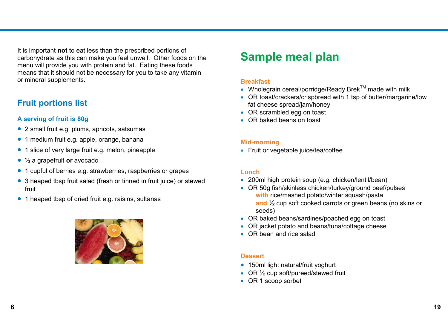It is important **not** to eat less than the prescribed portions of carbohydrate as this can make you feel unwell. Other foods on the menu will provide you with protein and fat. Eating these foods means that it should not be necessary for you to take any vitamin or mineral supplements.

# **Fruit portions list**

## **A serving of fruit is 80g**

- 2 small fruit e.g. plums, apricots, satsumas
- 1 medium fruit e.g. apple, orange, banana
- 1 slice of very large fruit e.g. melon, pineapple
- ½ a grapefruit **or** avocado
- 1 cupful of berries e.g. strawberries, raspberries or grapes
- 3 heaped tbsp fruit salad (fresh or tinned in fruit juice) or stewed fruit
- 1 heaped tbsp of dried fruit e.g. raisins, sultanas

# **Sample meal plan**

#### **Breakfast**

- Wholegrain cereal/porridge/Ready Brek<sup>TM</sup> made with milk
- OR toast/crackers/crispbread with 1 tsp of butter/margarine/low fat cheese spread/jam/honey
- OR scrambled egg on toast
- OR baked beans on toast

#### **Mid-morning**

• Fruit or vegetable juice/tea/coffee

#### **Lunch**

- 200ml high protein soup (e.g. chicken/lentil/bean)
- OR 50g fish/skinless chicken/turkey/ground beef/pulses **with** rice/mashed potato/winter squash/pasta **and** ½ cup soft cooked carrots or green beans (no skins or seeds)
- OR baked beans/sardines/poached egg on toast
- OR jacket potato and beans/tuna/cottage cheese
- OR bean and rice salad

#### **Dessert**

- 150ml light natural/fruit yoghurt
- OR 1/2 cup soft/pureed/stewed fruit
- OR 1 scoop sorbet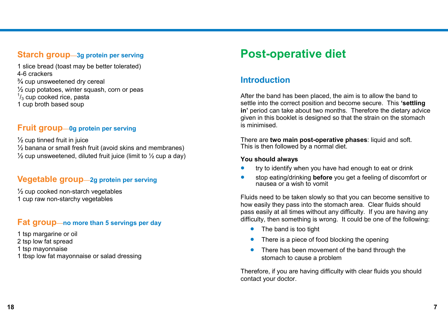# **Starch group—3g protein per serving**

1 slice bread (toast may be better tolerated) 4-6 crackers ¾ cup unsweetened dry cereal  $\frac{1}{2}$  cup potatoes, winter squash, corn or peas  $\frac{1}{3}$  cup cooked rice, pasta 1 cup broth based soup

# **Fruit group—0g protein per serving**

 $\frac{1}{2}$  cup tinned fruit in juice  $\frac{1}{2}$  banana or small fresh fruit (avoid skins and membranes)  $\frac{1}{2}$  cup unsweetened, diluted fruit juice (limit to  $\frac{1}{2}$  cup a day)

# **Vegetable group—2g protein per serving**

 $\frac{1}{2}$  cup cooked non-starch vegetables 1 cup raw non-starchy vegetables

# **Fat group—no more than 5 servings per day**

- 1 tsp margarine or oil
- 2 tsp low fat spread
- 1 tsp mayonnaise
- 1 tbsp low fat mayonnaise or salad dressing

# **Post-operative diet**

# **Introduction**

After the band has been placed, the aim is to allow the band to settle into the correct position and become secure. This **'settling in'** period can take about two months. Therefore the dietary advice given in this booklet is designed so that the strain on the stomach is minimised.

There are **two main post-operative phases**: liquid and soft. This is then followed by a normal diet.

#### **You should always**

- **•** try to identify when you have had enough to eat or drink
- stop eating/drinking **before** you get a feeling of discomfort or nausea or a wish to vomit

Fluids need to be taken slowly so that you can become sensitive to how easily they pass into the stomach area. Clear fluids should pass easily at all times without any difficulty. If you are having any difficulty, then something is wrong. It could be one of the following:

- The band is too tight
- There is a piece of food blocking the opening
- There has been movement of the band through the stomach to cause a problem

Therefore, if you are having difficulty with clear fluids you should contact your doctor.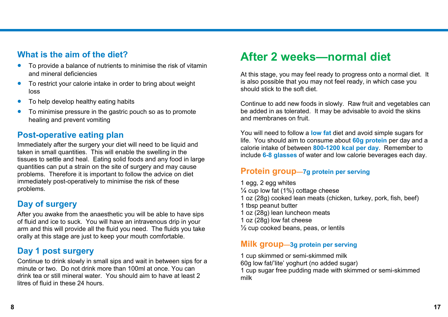# **What is the aim of the diet?**

- To provide a balance of nutrients to minimise the risk of vitamin and mineral deficiencies
- To restrict your calorie intake in order to bring about weight loss
- To help develop healthy eating habits
- To minimise pressure in the gastric pouch so as to promote healing and prevent vomiting

# **Post-operative eating plan**

Immediately after the surgery your diet will need to be liquid and taken in small quantities. This will enable the swelling in the tissues to settle and heal. Eating solid foods and any food in large quantities can put a strain on the site of surgery and may cause problems. Therefore it is important to follow the advice on diet immediately post-operatively to minimise the risk of these problems.

# **Day of surgery**

After you awake from the anaesthetic you will be able to have sips of fluid and ice to suck. You will have an intravenous drip in your arm and this will provide all the fluid you need. The fluids you take orally at this stage are just to keep your mouth comfortable.

# **Day 1 post surgery**

Continue to drink slowly in small sips and wait in between sips for a minute or two. Do not drink more than 100ml at once. You can drink tea or still mineral water. You should aim to have at least 2 litres of fluid in these 24 hours.

# **After 2 weeks—normal diet**

At this stage, you may feel ready to progress onto a normal diet. It is also possible that you may not feel ready, in which case you should stick to the soft diet.

Continue to add new foods in slowly. Raw fruit and vegetables can be added in as tolerated. It may be advisable to avoid the skins and membranes on fruit.

You will need to follow a **low fat** diet and avoid simple sugars for life. You should aim to consume about **60g protein** per day and a calorie intake of between **800-1200 kcal per day**. Remember to include **6-8 glasses** of water and low calorie beverages each day.

# **Protein group—7g protein per serving**

1 egg, 2 egg whites  $\frac{1}{4}$  cup low fat (1%) cottage cheese 1 oz (28g) cooked lean meats (chicken, turkey, pork, fish, beef) 1 tbsp peanut butter 1 oz (28g) lean luncheon meats 1 oz (28g) low fat cheese  $\frac{1}{2}$  cup cooked beans, peas, or lentils

# **Milk group—3g protein per serving**

1 cup skimmed or semi-skimmed milk 60g low fat/'lite' yoghurt (no added sugar) 1 cup sugar free pudding made with skimmed or semi-skimmed milk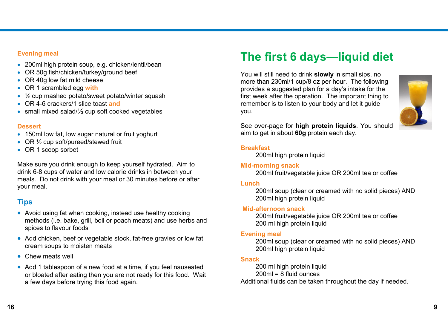### **Evening meal**

- 200ml high protein soup, e.g. chicken/lentil/bean
- OR 50g fish/chicken/turkey/ground beef
- OR 40g low fat mild cheese
- OR 1 scrambled egg **with**
- $\frac{1}{2}$  cup mashed potato/sweet potato/winter squash
- OR 4-6 crackers/1 slice toast **and**
- small mixed salad/<sup>1</sup>/<sub>2</sub> cup soft cooked vegetables

#### **Dessert**

- 150ml low fat, low sugar natural or fruit yoghurt
- OR 1/2 cup soft/pureed/stewed fruit
- OR 1 scoop sorbet

Make sure you drink enough to keep yourself hydrated. Aim to drink 6-8 cups of water and low calorie drinks in between your meals. Do not drink with your meal or 30 minutes before or after your meal.

# **Tips**

- Avoid using fat when cooking, instead use healthy cooking methods (i.e. bake, grill, boil or poach meats) and use herbs and spices to flavour foods
- Add chicken, beef or vegetable stock, fat-free gravies or low fat cream soups to moisten meats
- Chew meats well
- Add 1 tablespoon of a new food at a time, if you feel nauseated or bloated after eating then you are not ready for this food. Wait a few days before trying this food again.

# **The first 6 days—liquid diet**

You will still need to drink **slowly** in small sips, no more than 230ml/1 cup/8 oz per hour. The following provides a suggested plan for a day's intake for the first week after the operation. The important thing to remember is to listen to your body and let it guide you.



See over-page for **high protein liquids**. You should aim to get in about **60g** protein each day.

### **Breakfast**

200ml high protein liquid

## **Mid-morning snack**

200ml fruit/vegetable juice OR 200ml tea or coffee

## **Lunch**

200ml soup (clear or creamed with no solid pieces) AND 200ml high protein liquid

## **Mid-afternoon snack**

200ml fruit/vegetable juice OR 200ml tea or coffee 200 ml high protein liquid

## **Evening meal**

200ml soup (clear or creamed with no solid pieces) AND 200ml high protein liquid

## **Snack**

200 ml high protein liquid  $200ml = 8$  fluid ounces Additional fluids can be taken throughout the day if needed.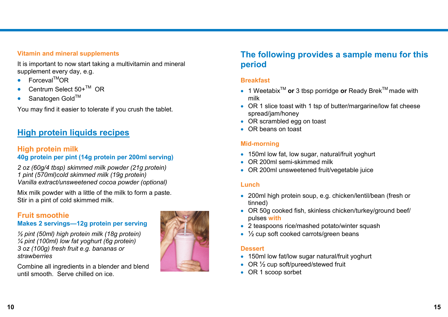## **Vitamin and mineral supplements**

It is important to now start taking a multivitamin and mineral supplement every day, e.g.

- $\bullet$  Forceval<sup>TM</sup>OR
- Centrum Select  $50+^{TM}$  OR
- Sanatogen Gold™

You may find it easier to tolerate if you crush the tablet.

# **High protein liquids recipes**

# **High protein milk**

## **40g protein per pint (14g protein per 200ml serving)**

*2 oz (60g/4 tbsp) skimmed milk powder (21g protein) 1 pint (570ml)cold skimmed milk (19g protein) Vanilla extract/unsweetened cocoa powder (optional)*

Mix milk powder with a little of the milk to form a paste. Stir in a pint of cold skimmed milk.

## **Fruit smoothie Makes 2 servings—12g protein per serving**

*½ pint (50ml) high protein milk (18g protein) ¼ pint (100ml) low fat yoghurt (6g protein) 3 oz (100g) fresh fruit e.g. bananas or strawberries*

Combine all ingredients in a blender and blend until smooth. Serve chilled on ice.



# **The following provides a sample menu for this period**

### **Breakfast**

- 1 Weetabix<sup>™</sup> or 3 tbsp porridge or Ready Brek<sup>™</sup> made with milk
- OR 1 slice toast with 1 tsp of butter/margarine/low fat cheese spread/jam/honey
- OR scrambled egg on toast
- OR beans on toast

## **Mid-morning**

- 150ml low fat, low sugar, natural/fruit yoghurt
- OR 200ml semi-skimmed milk
- OR 200ml unsweetened fruit/vegetable juice

#### **Lunch**

- 200ml high protein soup, e.g. chicken/lentil/bean (fresh or tinned)
- OR 50g cooked fish, skinless chicken/turkey/ground beef/ pulses **with**
- 2 teaspoons rice/mashed potato/winter squash
- $\cdot$   $\frac{1}{2}$  cup soft cooked carrots/green beans

#### **Dessert**

- 150ml low fat/low sugar natural/fruit yoghurt
- $\bullet$  OR  $\frac{1}{2}$  cup soft/pureed/stewed fruit
- OR 1 scoop sorbet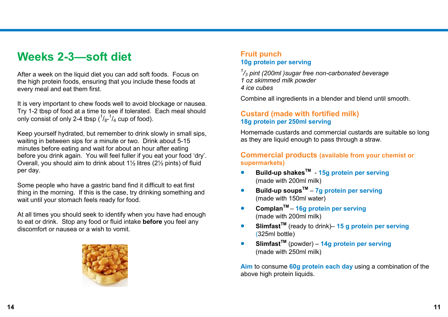# **Weeks 2-3—soft diet**

After a week on the liquid diet you can add soft foods. Focus on the high protein foods, ensuring that you include these foods at every meal and eat them first.

It is very important to chew foods well to avoid blockage or nausea. Try 1-2 tbsp of food at a time to see if tolerated. Each meal should only consist of only 2-4 tbsp  $(^{1}/_{8}$ - $^{1}/_{4}$  cup of food).

Keep yourself hydrated, but remember to drink slowly in small sips, waiting in between sips for a minute or two. Drink about 5-15 minutes before eating and wait for about an hour after eating before you drink again. You will feel fuller if you eat your food 'dry'. Overall, you should aim to drink about 1½ litres (2½ pints) of fluid per day.

Some people who have a gastric band find it difficult to eat first thing in the morning. If this is the case, try drinking something and wait until your stomach feels ready for food.

At all times you should seek to identify when you have had enough to eat or drink. Stop any food or fluid intake **before** you feel any discomfort or nausea or a wish to vomit.



## **Fruit punch 10g protein per serving**

*1 /<sup>3</sup> pint (200ml )sugar free non-carbonated beverage 1 oz skimmed milk powder 4 ice cubes*

Combine all ingredients in a blender and blend until smooth.

## **Custard (made with fortified milk) 18g protein per 250ml serving**

Homemade custards and commercial custards are suitable so long as they are liquid enough to pass through a straw.

## **Commercial products (available from your chemist or supermarkets)**

- **Build-up shakesTM 15g protein per serving** (made with 200ml milk)
- **Build-up soupsTM 7g protein per serving** (made with 150ml water)
- Complan<sup>™</sup> 16g protein per serving (made with 200ml milk)
- **SlimfastTM** (ready to drink)– **15 g protein per serving** (325ml bottle)
- **SlimfastTM** (powder) **14g protein per serving** (made with 250ml milk)

**Aim** to consume **60g protein each day** using a combination of the above high protein liquids.